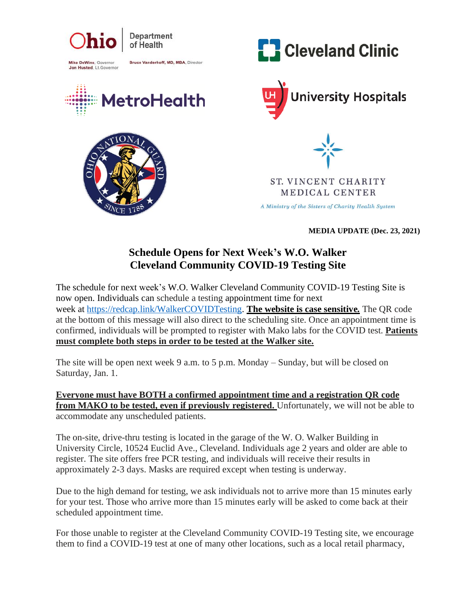

## **Schedule Opens for Next Week's W.O. Walker Cleveland Community COVID-19 Testing Site**

The schedule for next week's W.O. Walker Cleveland Community COVID-19 Testing Site is now open. Individuals can schedule a testing appointment time for next week at [https://redcap.link/WalkerCOVIDTesting.](https://urldefense.com/v3/__https:/redcap.link/WalkerCOVIDTesting__;!!IuDQRY6mOWG9IIqcpA!AFxFjMKStP29jgEcLd1YCvBTnpgJPqs64FR6dTOEOK59N3ogoNZHxNU_ZgYAgnDYL2F8$) **The website is case sensitive***.* The QR code at the bottom of this message will also direct to the scheduling site. Once an appointment time is confirmed, individuals will be prompted to register with Mako labs for the COVID test. **Patients must complete both steps in order to be tested at the Walker site.**

The site will be open next week 9 a.m. to 5 p.m. Monday – Sunday, but will be closed on Saturday, Jan. 1.

**Everyone must have BOTH a confirmed appointment time and a registration QR code from MAKO to be tested, even if previously registered.** Unfortunately, we will not be able to accommodate any unscheduled patients.

The on-site, drive-thru testing is located in the garage of the W. O. Walker Building in University Circle, 10524 Euclid Ave., Cleveland. Individuals age 2 years and older are able to register. The site offers free PCR testing, and individuals will receive their results in approximately 2-3 days. Masks are required except when testing is underway.

Due to the high demand for testing, we ask individuals not to arrive more than 15 minutes early for your test. Those who arrive more than 15 minutes early will be asked to come back at their scheduled appointment time.

For those unable to register at the Cleveland Community COVID-19 Testing site, we encourage them to find a COVID-19 test at one of many other locations, such as a local retail pharmacy,